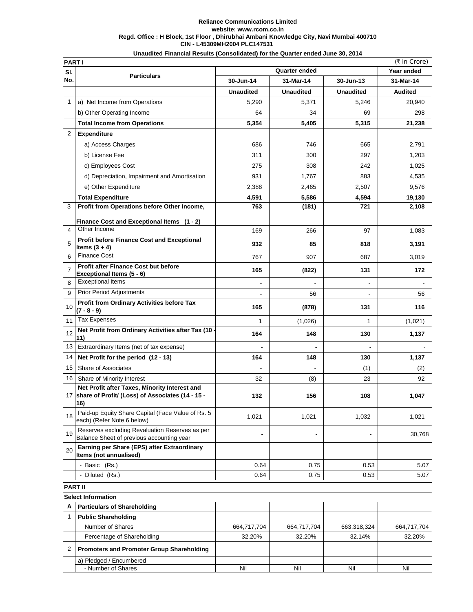## **CIN - L45309MH2004 PLC147531 Reliance Communications Limited website: www.rcom.co.in Regd. Office : H Block, 1st Floor , Dhirubhai Ambani Knowledge City, Navi Mumbai 400710**

|                | Unaudited Financial Results (Consolidated) for the Quarter ended June 30, 2014                           |                  |                  |                  |                |
|----------------|----------------------------------------------------------------------------------------------------------|------------------|------------------|------------------|----------------|
| <b>PART I</b>  |                                                                                                          |                  |                  |                  | (₹ in Crore)   |
| SI.            | <b>Particulars</b>                                                                                       |                  | Quarter ended    |                  | Year ended     |
| No.            |                                                                                                          | 30-Jun-14        | 31-Mar-14        | 30-Jun-13        | 31-Mar-14      |
|                |                                                                                                          | <b>Unaudited</b> | <b>Unaudited</b> | <b>Unaudited</b> | <b>Audited</b> |
| $\mathbf{1}$   | a) Net Income from Operations                                                                            | 5,290            | 5,371            | 5,246            | 20,940         |
|                | b) Other Operating Income                                                                                | 64               | 34               | 69               | 298            |
|                | <b>Total Income from Operations</b>                                                                      | 5,354            | 5,405            | 5,315            | 21,238         |
| 2              | <b>Expenditure</b>                                                                                       |                  |                  |                  |                |
|                | a) Access Charges                                                                                        | 686              | 746              | 665              | 2,791          |
|                | b) License Fee                                                                                           | 311              | 300              | 297              | 1,203          |
|                | c) Employees Cost                                                                                        | 275              | 308              | 242              | 1,025          |
|                | d) Depreciation, Impairment and Amortisation                                                             | 931              | 1,767            | 883              | 4,535          |
|                | e) Other Expenditure                                                                                     | 2,388            | 2,465            | 2,507            | 9,576          |
|                | <b>Total Expenditure</b>                                                                                 | 4,591            | 5,586            | 4,594            | 19,130         |
| 3              | Profit from Operations before Other Income,                                                              | 763              | (181)            | 721              | 2,108          |
|                | Finance Cost and Exceptional Items (1 - 2)                                                               |                  |                  |                  |                |
| 4              | Other Income                                                                                             | 169              | 266              | 97               | 1,083          |
| 5              | <b>Profit before Finance Cost and Exceptional</b><br>Items $(3 + 4)$                                     | 932              | 85               | 818              | 3,191          |
| 6              | <b>Finance Cost</b>                                                                                      | 767              | 907              | 687              | 3,019          |
| $\overline{7}$ | <b>Profit after Finance Cost but before</b><br>Exceptional Items (5 - 6)                                 | 165              | (822)            | 131              | 172            |
| 8              | <b>Exceptional Items</b>                                                                                 | $\overline{a}$   |                  | $\blacksquare$   |                |
| 9              | <b>Prior Period Adjustments</b>                                                                          |                  | 56               |                  | 56             |
| 10             | Profit from Ordinary Activities before Tax<br>$(7 - 8 - 9)$                                              | 165              | (878)            | 131              | 116            |
| 11             | Tax Expenses                                                                                             | 1                | (1,026)          | 1                | (1,021)        |
| 12             | Net Profit from Ordinary Activities after Tax (10 -<br>11)                                               | 164              | 148              | 130              | 1,137          |
| 13             | Extraordinary Items (net of tax expense)                                                                 |                  |                  |                  |                |
| 14             | Net Profit for the period (12 - 13)                                                                      | 164              | 148              | 130              | 1,137          |
| 15             | Share of Associates                                                                                      |                  |                  | (1)              | (2)            |
| 16             | Share of Minority Interest                                                                               | 32               | (8)              | 23               | 92             |
| 17             | Net Profit after Taxes, Minority Interest and<br>share of Profit/ (Loss) of Associates (14 - 15 -<br>16) | 132              | 156              | 108              | 1,047          |
| 18             | Paid-up Equity Share Capital (Face Value of Rs. 5<br>each) (Refer Note 6 below)                          | 1,021            | 1,021            | 1,032            | 1,021          |
| 19             | Reserves excluding Revaluation Reserves as per<br>Balance Sheet of previous accounting year              |                  |                  |                  | 30,768         |

|                           | <b>PART II</b>                                   |             |             |             |             |  |
|---------------------------|--------------------------------------------------|-------------|-------------|-------------|-------------|--|
| <b>Select Information</b> |                                                  |             |             |             |             |  |
| А                         | <b>Particulars of Shareholding</b>               |             |             |             |             |  |
|                           | <b>Public Shareholding</b>                       |             |             |             |             |  |
|                           | Number of Shares                                 | 664,717,704 | 664,717,704 | 663,318,324 | 664,717,704 |  |
|                           | Percentage of Shareholding                       | 32.20%      | 32.20%      | 32.14%      | 32.20%      |  |
|                           | <b>Promoters and Promoter Group Shareholding</b> |             |             |             |             |  |
|                           | a) Pledged / Encumbered                          |             |             |             |             |  |
|                           | - Number of Shares                               | Nil         | Nil         | Nil         | Nil         |  |

- Basic (Rs.) 6.07 (1989) 1.5.07 (1989) 1.5.07 (1989) 1.5.07 (1989) 1.5.07 (1989) 1.5.07 (1989) 1.5.07 (1989) 1.5.07 (1989) 1.5.07 (1989) 1.5.07 (1989) 1.5.07 (1989) 1.5.07 (1989) 1.5.07 (1989) 1.5.07 (1989) 1.5.07 (1989) - Diluted (Rs.) 6.07 (1991) 1.64 (1992) 1.64 (1993) 1.64 (1993) 1.64 (1994) 1.653 (1994) 1.653 (1994) 1.653 (1995) 1.653 (1996) 1.653 (1996) 1.653 (1996) 1.653 (1996) 1.653 (1996) 1.653 (1996) 1.653 (1996) 1.653 (1997) 1.6

 **Earning per Share (EPS) after Extraordinary** 

**Items (not annualised)** 

20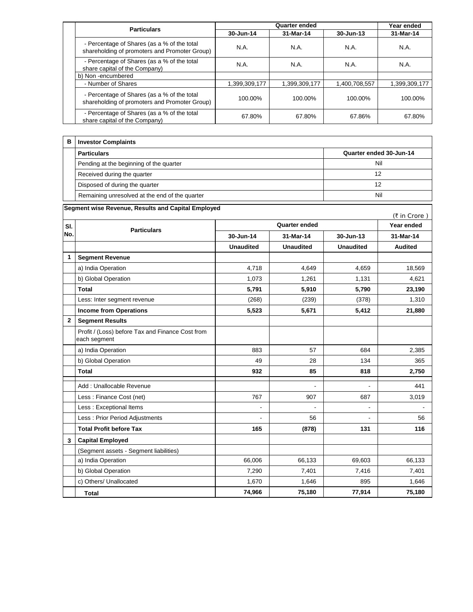|  | <b>Particulars</b>                                                                           | <b>Quarter ended</b> |               |               | Year ended    |
|--|----------------------------------------------------------------------------------------------|----------------------|---------------|---------------|---------------|
|  |                                                                                              | 30-Jun-14            | 31-Mar-14     | 30-Jun-13     | 31-Mar-14     |
|  | - Percentage of Shares (as a % of the total<br>shareholding of promoters and Promoter Group) | N.A.                 | N.A.          | <b>N.A.</b>   | N.A.          |
|  | - Percentage of Shares (as a % of the total<br>share capital of the Company)                 | N.A.                 | N.A.          | N.A.          | N.A.          |
|  | b) Non-encumbered                                                                            |                      |               |               |               |
|  | - Number of Shares                                                                           | 1,399,309,177        | 1,399,309,177 | 1,400,708,557 | 1,399,309,177 |
|  | - Percentage of Shares (as a % of the total<br>shareholding of promoters and Promoter Group) | 100.00%              | 100.00%       | 100.00%       | 100.00%       |
|  | - Percentage of Shares (as a % of the total<br>share capital of the Company)                 | 67.80%               | 67.80%        | 67.86%        | 67.80%        |

| в | <b>Investor Complaints</b>                     |                         |
|---|------------------------------------------------|-------------------------|
|   | <b>Particulars</b>                             | Quarter ended 30-Jun-14 |
|   | Pending at the beginning of the quarter        | Nil                     |
|   | Received during the quarter                    | 12                      |
|   | Disposed of during the quarter                 | 12                      |
|   | Remaining unresolved at the end of the quarter | Nil                     |

|                | Segment wise Revenue, Results and Capital Employed               |                  |                  |                  | (₹ in Crore)   |
|----------------|------------------------------------------------------------------|------------------|------------------|------------------|----------------|
| SI.            | <b>Particulars</b>                                               |                  | Year ended       |                  |                |
| No.            |                                                                  | 30-Jun-14        | 31-Mar-14        | 30-Jun-13        | 31-Mar-14      |
|                |                                                                  | <b>Unaudited</b> | <b>Unaudited</b> | <b>Unaudited</b> | <b>Audited</b> |
| 1              | <b>Segment Revenue</b>                                           |                  |                  |                  |                |
|                | a) India Operation                                               | 4.718            | 4.649            | 4,659            | 18,569         |
|                | b) Global Operation                                              | 1,073            | 1,261            | 1,131            | 4,621          |
|                | <b>Total</b>                                                     | 5,791            | 5,910            | 5,790            | 23,190         |
|                | Less: Inter segment revenue                                      | (268)            | (239)            | (378)            | 1,310          |
|                | <b>Income from Operations</b>                                    | 5,523            | 5,671            | 5,412            | 21,880         |
| $\overline{2}$ | <b>Segment Results</b>                                           |                  |                  |                  |                |
|                | Profit / (Loss) before Tax and Finance Cost from<br>each segment |                  |                  |                  |                |
|                | a) India Operation                                               | 883              | 57               | 684              | 2,385          |
|                | b) Global Operation                                              | 49               | 28               | 134              | 365            |
|                | <b>Total</b>                                                     | 932              | 85               | 818              | 2,750          |
|                | Add: Unallocable Revenue                                         |                  | $\overline{a}$   | $\blacksquare$   | 441            |
|                | Less: Finance Cost (net)                                         | 767              | 907              | 687              | 3,019          |
|                | Less : Exceptional Items                                         | ÷,               | $\overline{a}$   | $\blacksquare$   |                |
|                | Less: Prior Period Adjustments                                   | $\overline{a}$   | 56               | $\overline{a}$   | 56             |
|                | <b>Total Profit before Tax</b>                                   | 165              | (878)            | 131              | 116            |
| 3              | <b>Capital Employed</b>                                          |                  |                  |                  |                |
|                | (Segment assets - Segment liabilities)                           |                  |                  |                  |                |
|                | a) India Operation                                               | 66,006           | 66,133           | 69,603           | 66,133         |
|                | b) Global Operation                                              | 7,290            | 7,401            | 7,416            | 7,401          |
|                | c) Others/ Unallocated                                           | 1.670            | 1.646            | 895              | 1.646          |
|                | <b>Total</b>                                                     | 74,966           | 75,180           | 77,914           | 75,180         |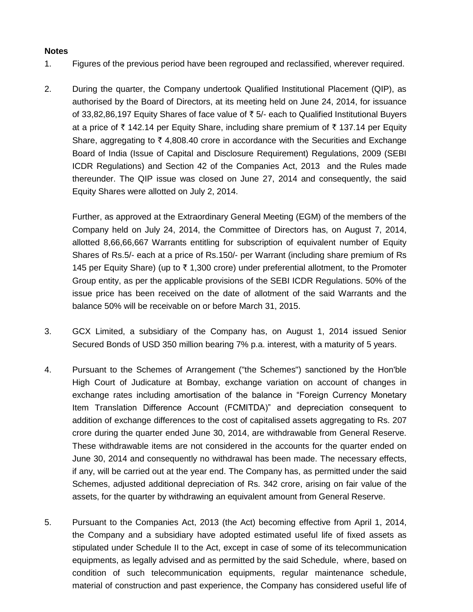## **Notes**

- 1. Figures of the previous period have been regrouped and reclassified, wherever required.
- 2. During the quarter, the Company undertook Qualified Institutional Placement (QIP), as authorised by the Board of Directors, at its meeting held on June 24, 2014, for issuance of 33,82,86,197 Equity Shares of face value of  $\bar{\tau}$  5/- each to Qualified Institutional Buyers at a price of  $\bar{\tau}$  142.14 per Equity Share, including share premium of  $\bar{\tau}$  137.14 per Equity Share, aggregating to  $\bar{\tau}$  4,808.40 crore in accordance with the Securities and Exchange Board of India (Issue of Capital and Disclosure Requirement) Regulations, 2009 (SEBI ICDR Regulations) and Section 42 of the Companies Act, 2013 and the Rules made thereunder. The QIP issue was closed on June 27, 2014 and consequently, the said Equity Shares were allotted on July 2, 2014.

Further, as approved at the Extraordinary General Meeting (EGM) of the members of the Company held on July 24, 2014, the Committee of Directors has, on August 7, 2014, allotted 8,66,66,667 Warrants entitling for subscription of equivalent number of Equity Shares of Rs.5/- each at a price of Rs.150/- per Warrant (including share premium of Rs 145 per Equity Share) (up to  $\bar{\tau}$  1,300 crore) under preferential allotment, to the Promoter Group entity, as per the applicable provisions of the SEBI ICDR Regulations. 50% of the issue price has been received on the date of allotment of the said Warrants and the balance 50% will be receivable on or before March 31, 2015.

- 3. GCX Limited, a subsidiary of the Company has, on August 1, 2014 issued Senior Secured Bonds of USD 350 million bearing 7% p.a. interest, with a maturity of 5 years.
- 4. Pursuant to the Schemes of Arrangement ("the Schemes") sanctioned by the Hon'ble High Court of Judicature at Bombay, exchange variation on account of changes in exchange rates including amortisation of the balance in "Foreign Currency Monetary Item Translation Difference Account (FCMITDA)" and depreciation consequent to addition of exchange differences to the cost of capitalised assets aggregating to Rs. 207 crore during the quarter ended June 30, 2014, are withdrawable from General Reserve. These withdrawable items are not considered in the accounts for the quarter ended on June 30, 2014 and consequently no withdrawal has been made. The necessary effects, if any, will be carried out at the year end. The Company has, as permitted under the said Schemes, adjusted additional depreciation of Rs. 342 crore, arising on fair value of the assets, for the quarter by withdrawing an equivalent amount from General Reserve.
- 5. Pursuant to the Companies Act, 2013 (the Act) becoming effective from April 1, 2014, the Company and a subsidiary have adopted estimated useful life of fixed assets as stipulated under Schedule II to the Act, except in case of some of its telecommunication equipments, as legally advised and as permitted by the said Schedule, where, based on condition of such telecommunication equipments, regular maintenance schedule, material of construction and past experience, the Company has considered useful life of